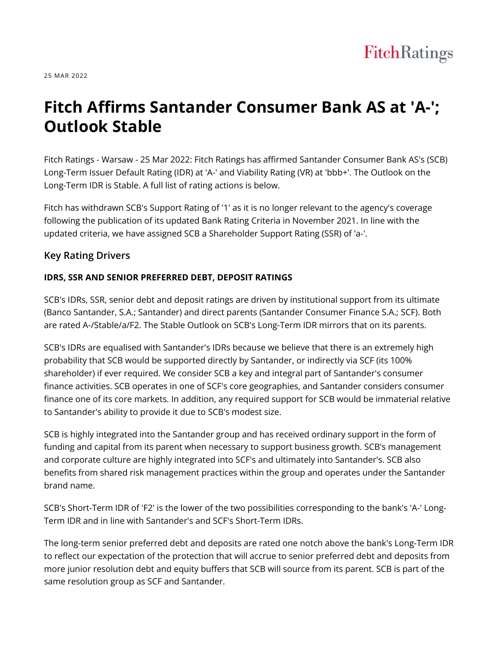# **Fitch Affirms Santander Consumer Bank AS at 'A-'; Outlook Stable**

Fitch Ratings - Warsaw - 25 Mar 2022: Fitch Ratings has affirmed Santander Consumer Bank AS's (SCB) Long-Term Issuer Default Rating (IDR) at 'A-' and Viability Rating (VR) at 'bbb+'. The Outlook on the Long-Term IDR is Stable. A full list of rating actions is below.

Fitch has withdrawn SCB's Support Rating of '1' as it is no longer relevant to the agency's coverage following the publication of its updated Bank Rating Criteria in November 2021. In line with the updated criteria, we have assigned SCB a Shareholder Support Rating (SSR) of 'a-'.

#### **Key Rating Drivers**

#### **IDRS, SSR AND SENIOR PREFERRED DEBT, DEPOSIT RATINGS**

SCB's IDRs, SSR, senior debt and deposit ratings are driven by institutional support from its ultimate (Banco Santander, S.A.; Santander) and direct parents (Santander Consumer Finance S.A.; SCF). Both are rated A-/Stable/a/F2. The Stable Outlook on SCB's Long-Term IDR mirrors that on its parents.

SCB's IDRs are equalised with Santander's IDRs because we believe that there is an extremely high probability that SCB would be supported directly by Santander, or indirectly via SCF (its 100% shareholder) if ever required. We consider SCB a key and integral part of Santander's consumer finance activities. SCB operates in one of SCF's core geographies, and Santander considers consumer finance one of its core markets. In addition, any required support for SCB would be immaterial relative to Santander's ability to provide it due to SCB's modest size.

SCB is highly integrated into the Santander group and has received ordinary support in the form of funding and capital from its parent when necessary to support business growth. SCB's management and corporate culture are highly integrated into SCF's and ultimately into Santander's. SCB also benefits from shared risk management practices within the group and operates under the Santander brand name.

SCB's Short-Term IDR of 'F2' is the lower of the two possibilities corresponding to the bank's 'A-' Long-Term IDR and in line with Santander's and SCF's Short-Term IDRs.

The long-term senior preferred debt and deposits are rated one notch above the bank's Long-Term IDR to reflect our expectation of the protection that will accrue to senior preferred debt and deposits from more junior resolution debt and equity buffers that SCB will source from its parent. SCB is part of the same resolution group as SCF and Santander.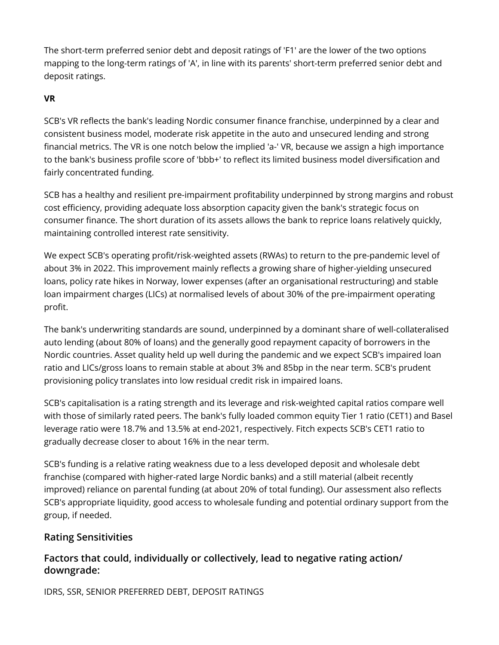The short-term preferred senior debt and deposit ratings of 'F1' are the lower of the two options mapping to the long-term ratings of 'A', in line with its parents' short-term preferred senior debt and deposit ratings.

#### **VR**

SCB's VR reflects the bank's leading Nordic consumer finance franchise, underpinned by a clear and consistent business model, moderate risk appetite in the auto and unsecured lending and strong financial metrics. The VR is one notch below the implied 'a-' VR, because we assign a high importance to the bank's business profile score of 'bbb+' to reflect its limited business model diversification and fairly concentrated funding.

SCB has a healthy and resilient pre-impairment profitability underpinned by strong margins and robust cost efficiency, providing adequate loss absorption capacity given the bank's strategic focus on consumer finance. The short duration of its assets allows the bank to reprice loans relatively quickly, maintaining controlled interest rate sensitivity.

We expect SCB's operating profit/risk-weighted assets (RWAs) to return to the pre-pandemic level of about 3% in 2022. This improvement mainly reflects a growing share of higher-yielding unsecured loans, policy rate hikes in Norway, lower expenses (after an organisational restructuring) and stable loan impairment charges (LICs) at normalised levels of about 30% of the pre-impairment operating profit.

The bank's underwriting standards are sound, underpinned by a dominant share of well-collateralised auto lending (about 80% of loans) and the generally good repayment capacity of borrowers in the Nordic countries. Asset quality held up well during the pandemic and we expect SCB's impaired loan ratio and LICs/gross loans to remain stable at about 3% and 85bp in the near term. SCB's prudent provisioning policy translates into low residual credit risk in impaired loans.

SCB's capitalisation is a rating strength and its leverage and risk-weighted capital ratios compare well with those of similarly rated peers. The bank's fully loaded common equity Tier 1 ratio (CET1) and Basel leverage ratio were 18.7% and 13.5% at end-2021, respectively. Fitch expects SCB's CET1 ratio to gradually decrease closer to about 16% in the near term.

SCB's funding is a relative rating weakness due to a less developed deposit and wholesale debt franchise (compared with higher-rated large Nordic banks) and a still material (albeit recently improved) reliance on parental funding (at about 20% of total funding). Our assessment also reflects SCB's appropriate liquidity, good access to wholesale funding and potential ordinary support from the group, if needed.

#### **Rating Sensitivities**

# **Factors that could, individually or collectively, lead to negative rating action/ downgrade:**

IDRS, SSR, SENIOR PREFERRED DEBT, DEPOSIT RATINGS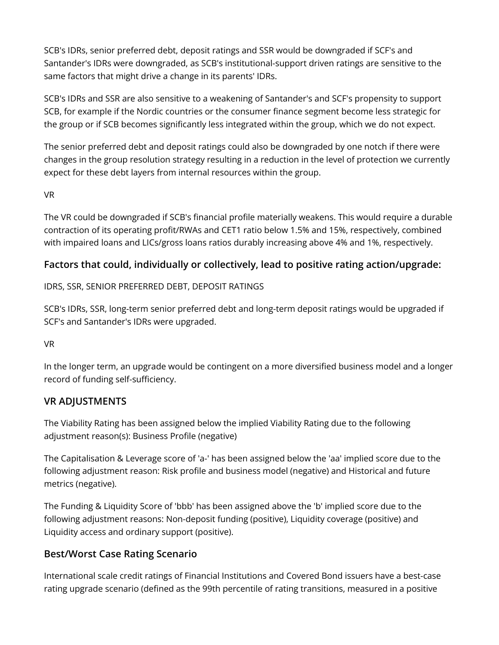SCB's IDRs, senior preferred debt, deposit ratings and SSR would be downgraded if SCF's and Santander's IDRs were downgraded, as SCB's institutional-support driven ratings are sensitive to the same factors that might drive a change in its parents' IDRs.

SCB's IDRs and SSR are also sensitive to a weakening of Santander's and SCF's propensity to support SCB, for example if the Nordic countries or the consumer finance segment become less strategic for the group or if SCB becomes significantly less integrated within the group, which we do not expect.

The senior preferred debt and deposit ratings could also be downgraded by one notch if there were changes in the group resolution strategy resulting in a reduction in the level of protection we currently expect for these debt layers from internal resources within the group.

VR

The VR could be downgraded if SCB's financial profile materially weakens. This would require a durable contraction of its operating profit/RWAs and CET1 ratio below 1.5% and 15%, respectively, combined with impaired loans and LICs/gross loans ratios durably increasing above 4% and 1%, respectively.

# **Factors that could, individually or collectively, lead to positive rating action/upgrade:**

IDRS, SSR, SENIOR PREFERRED DEBT, DEPOSIT RATINGS

SCB's IDRs, SSR, long-term senior preferred debt and long-term deposit ratings would be upgraded if SCF's and Santander's IDRs were upgraded.

VR

In the longer term, an upgrade would be contingent on a more diversified business model and a longer record of funding self-sufficiency.

# **VR ADJUSTMENTS**

The Viability Rating has been assigned below the implied Viability Rating due to the following adjustment reason(s): Business Profile (negative)

The Capitalisation & Leverage score of 'a-' has been assigned below the 'aa' implied score due to the following adjustment reason: Risk profile and business model (negative) and Historical and future metrics (negative).

The Funding & Liquidity Score of 'bbb' has been assigned above the 'b' implied score due to the following adjustment reasons: Non-deposit funding (positive), Liquidity coverage (positive) and Liquidity access and ordinary support (positive).

# **Best/Worst Case Rating Scenario**

International scale credit ratings of Financial Institutions and Covered Bond issuers have a best-case rating upgrade scenario (defined as the 99th percentile of rating transitions, measured in a positive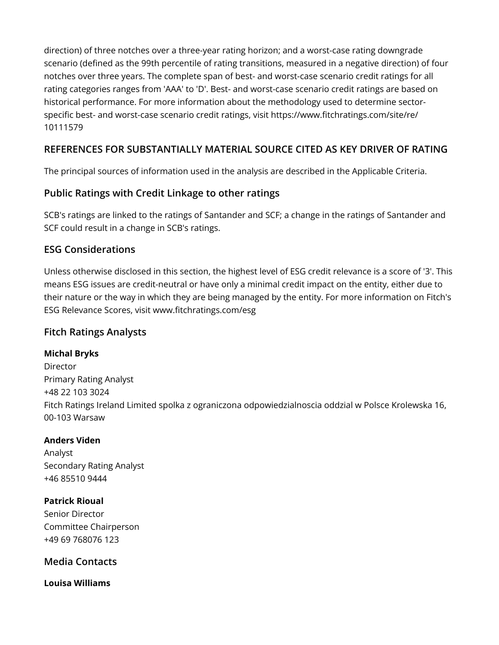direction) of three notches over a three-year rating horizon; and a worst-case rating downgrade scenario (defined as the 99th percentile of rating transitions, measured in a negative direction) of four notches over three years. The complete span of best- and worst-case scenario credit ratings for all rating categories ranges from 'AAA' to 'D'. Best- and worst-case scenario credit ratings are based on historical performance. For more information about the methodology used to determine sectorspecific best- and worst-case scenario credit ratings, visit https://www.fitchratings.com/site/re/ 10111579

# **REFERENCES FOR SUBSTANTIALLY MATERIAL SOURCE CITED AS KEY DRIVER OF RATING**

The principal sources of information used in the analysis are described in the Applicable Criteria.

# **Public Ratings with Credit Linkage to other ratings**

SCB's ratings are linked to the ratings of Santander and SCF; a change in the ratings of Santander and SCF could result in a change in SCB's ratings.

# **ESG Considerations**

Unless otherwise disclosed in this section, the highest level of ESG credit relevance is a score of '3'. This means ESG issues are credit-neutral or have only a minimal credit impact on the entity, either due to their nature or the way in which they are being managed by the entity. For more information on Fitch's ESG Relevance Scores, visit www.fitchratings.com/esg

#### **Fitch Ratings Analysts**

#### **Michal Bryks**

Director Primary Rating Analyst +48 22 103 3024 Fitch Ratings Ireland Limited spolka z ograniczona odpowiedzialnoscia oddzial w Polsce Krolewska 16, 00-103 Warsaw

#### **Anders Viden**

Analyst Secondary Rating Analyst +46 85510 9444

#### **Patrick Rioual**

Senior Director Committee Chairperson +49 69 768076 123

# **Media Contacts**

**Louisa Williams**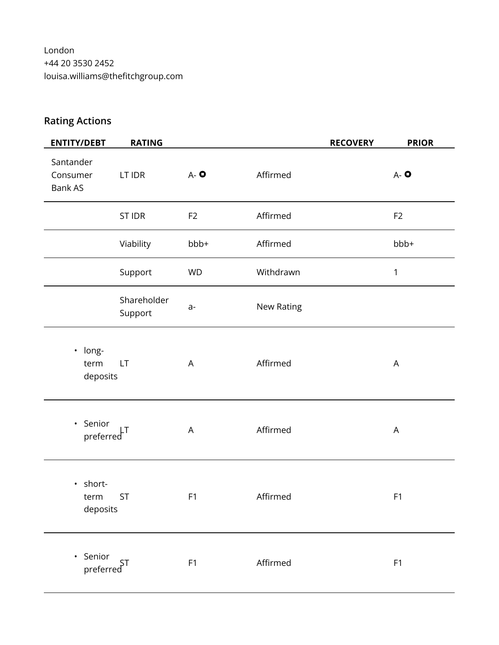# **Rating Actions**

| <b>ENTITY/DEBT</b>                             | <b>RATING</b>          |                |            | <b>RECOVERY</b> | <b>PRIOR</b>   |
|------------------------------------------------|------------------------|----------------|------------|-----------------|----------------|
| Santander<br>Consumer<br><b>Bank AS</b>        | LT IDR                 | $A - Q$        | Affirmed   |                 | A- <b>O</b>    |
|                                                | <b>ST IDR</b>          | F <sub>2</sub> | Affirmed   |                 | F <sub>2</sub> |
|                                                | Viability              | bbb+           | Affirmed   |                 | bbb+           |
|                                                | Support                | <b>WD</b>      | Withdrawn  |                 | 1              |
|                                                | Shareholder<br>Support | $a-$           | New Rating |                 |                |
| · long-<br>term<br>deposits                    | LT                     | $\overline{A}$ | Affirmed   |                 | A              |
| • Senior<br>$\mathsf{preferred}^{\mathsf{LT}}$ |                        | $\mathsf{A}$   | Affirmed   |                 | A              |
| · short-<br>term<br>deposits                   | <b>ST</b>              | F <sub>1</sub> | Affirmed   |                 | F <sub>1</sub> |
| • Senior<br>preferred<br>preferred             |                        | F <sub>1</sub> | Affirmed   |                 | F1             |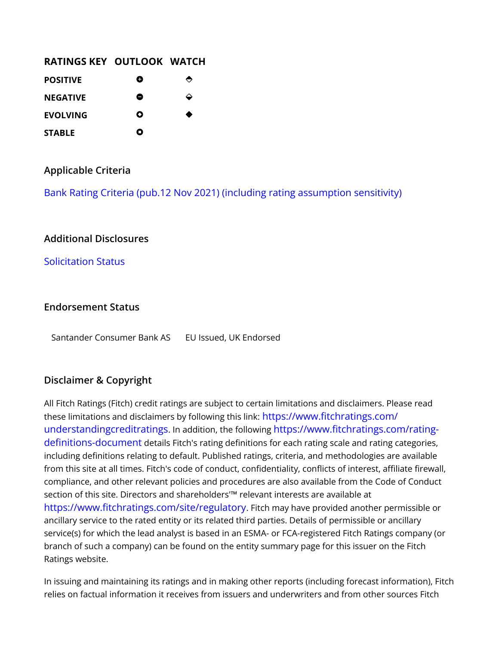#### **RATINGS KEY OUTLOOK WATCH**

| <b>POSITIVE</b> | O | ◓ |
|-----------------|---|---|
| <b>NEGATIVE</b> | 0 | ↩ |
| <b>EVOLVING</b> | Ο | ٠ |
| <b>STABLE</b>   | n |   |

#### **Applicable Criteria**

[Bank Rating Criteria \(pub.12 Nov 2021\) \(including rating assumption sensitivity\)](https://app.fitchconnect.com/search/research/article/RPT_10182112)

#### **Additional Disclosures**

#### [Solicitation Status](https://www.fitchratings.com/research/banks/fitch-affirms-santander-consumer-bank-as-at-a-outlook-stable-25-03-2022#solicitation-status)

#### **Endorsement Status**

Santander Consumer Bank AS EU Issued, UK Endorsed

#### **Disclaimer & Copyright**

All Fitch Ratings (Fitch) credit ratings are subject to certain limitations and disclaimers. Please read these limitations and disclaimers by following this link: [https://www.fitchratings.com/](https://www.fitchratings.com/UNDERSTANDINGCREDITRATINGS) [understandingcreditratings](https://www.fitchratings.com/UNDERSTANDINGCREDITRATINGS). In addition, the following [https://www.fitchratings.com/rating](https://www.fitchratings.com/RATING-DEFINITIONS-DOCUMENT)[definitions-document](https://www.fitchratings.com/RATING-DEFINITIONS-DOCUMENT) details Fitch's rating definitions for each rating scale and rating categories, including definitions relating to default. Published ratings, criteria, and methodologies are available from this site at all times. Fitch's code of conduct, confidentiality, conflicts of interest, affiliate firewall, compliance, and other relevant policies and procedures are also available from the Code of Conduct section of this site. Directors and shareholders'™ relevant interests are available at [https://www.fitchratings.com/site/regulatory](https://www.fitchratings.com/SITE/REGULATORY). Fitch may have provided another permissible or ancillary service to the rated entity or its related third parties. Details of permissible or ancillary service(s) for which the lead analyst is based in an ESMA- or FCA-registered Fitch Ratings company (or branch of such a company) can be found on the entity summary page for this issuer on the Fitch Ratings website.

In issuing and maintaining its ratings and in making other reports (including forecast information), Fitch relies on factual information it receives from issuers and underwriters and from other sources Fitch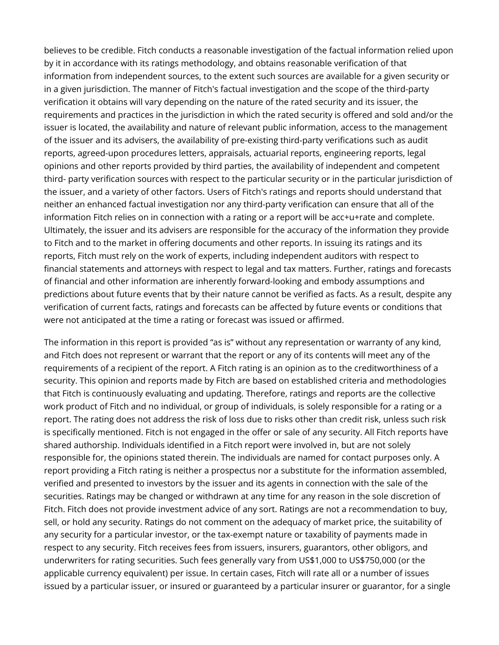believes to be credible. Fitch conducts a reasonable investigation of the factual information relied upon by it in accordance with its ratings methodology, and obtains reasonable verification of that information from independent sources, to the extent such sources are available for a given security or in a given jurisdiction. The manner of Fitch's factual investigation and the scope of the third-party verification it obtains will vary depending on the nature of the rated security and its issuer, the requirements and practices in the jurisdiction in which the rated security is offered and sold and/or the issuer is located, the availability and nature of relevant public information, access to the management of the issuer and its advisers, the availability of pre-existing third-party verifications such as audit reports, agreed-upon procedures letters, appraisals, actuarial reports, engineering reports, legal opinions and other reports provided by third parties, the availability of independent and competent third- party verification sources with respect to the particular security or in the particular jurisdiction of the issuer, and a variety of other factors. Users of Fitch's ratings and reports should understand that neither an enhanced factual investigation nor any third-party verification can ensure that all of the information Fitch relies on in connection with a rating or a report will be acc+u+rate and complete. Ultimately, the issuer and its advisers are responsible for the accuracy of the information they provide to Fitch and to the market in offering documents and other reports. In issuing its ratings and its reports, Fitch must rely on the work of experts, including independent auditors with respect to financial statements and attorneys with respect to legal and tax matters. Further, ratings and forecasts of financial and other information are inherently forward-looking and embody assumptions and predictions about future events that by their nature cannot be verified as facts. As a result, despite any verification of current facts, ratings and forecasts can be affected by future events or conditions that were not anticipated at the time a rating or forecast was issued or affirmed.

The information in this report is provided "as is" without any representation or warranty of any kind, and Fitch does not represent or warrant that the report or any of its contents will meet any of the requirements of a recipient of the report. A Fitch rating is an opinion as to the creditworthiness of a security. This opinion and reports made by Fitch are based on established criteria and methodologies that Fitch is continuously evaluating and updating. Therefore, ratings and reports are the collective work product of Fitch and no individual, or group of individuals, is solely responsible for a rating or a report. The rating does not address the risk of loss due to risks other than credit risk, unless such risk is specifically mentioned. Fitch is not engaged in the offer or sale of any security. All Fitch reports have shared authorship. Individuals identified in a Fitch report were involved in, but are not solely responsible for, the opinions stated therein. The individuals are named for contact purposes only. A report providing a Fitch rating is neither a prospectus nor a substitute for the information assembled, verified and presented to investors by the issuer and its agents in connection with the sale of the securities. Ratings may be changed or withdrawn at any time for any reason in the sole discretion of Fitch. Fitch does not provide investment advice of any sort. Ratings are not a recommendation to buy, sell, or hold any security. Ratings do not comment on the adequacy of market price, the suitability of any security for a particular investor, or the tax-exempt nature or taxability of payments made in respect to any security. Fitch receives fees from issuers, insurers, guarantors, other obligors, and underwriters for rating securities. Such fees generally vary from US\$1,000 to US\$750,000 (or the applicable currency equivalent) per issue. In certain cases, Fitch will rate all or a number of issues issued by a particular issuer, or insured or guaranteed by a particular insurer or guarantor, for a single